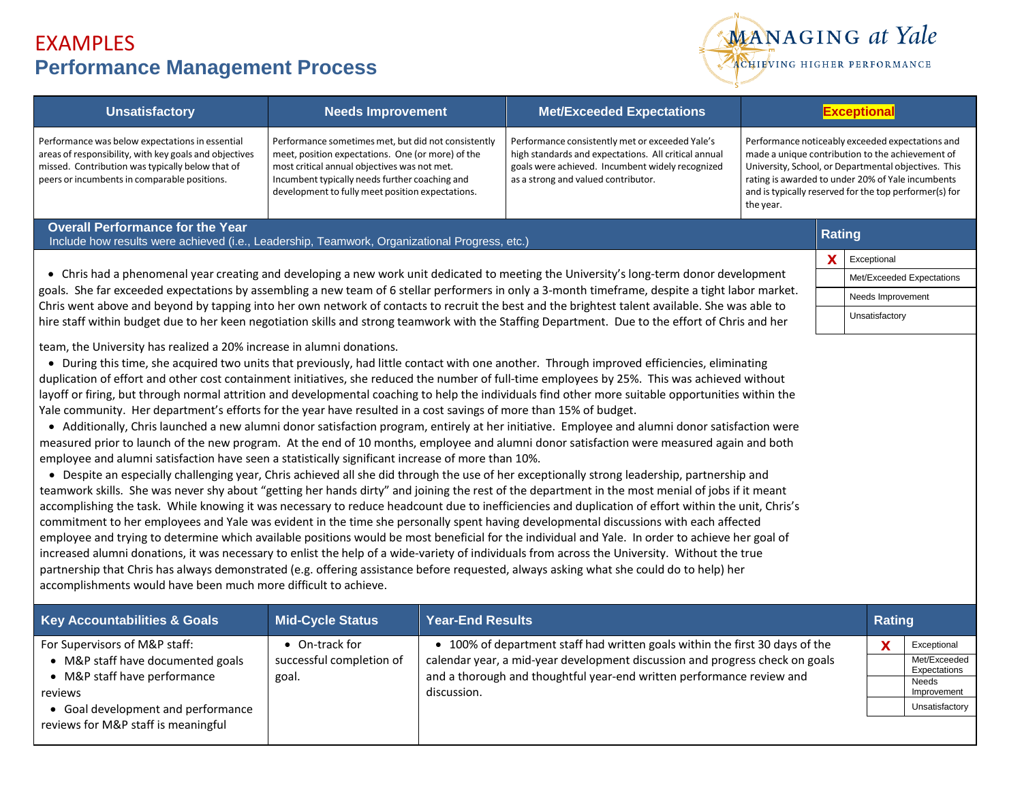

| <b>Unsatisfactory</b>                                                                                                                                                                                                                                                                                                                                                                                                                                                                                                                                                                                                                                                                                                                                                                                                                                                                                                                                                                                                                                                                                                                                                                                                                                                                                                                                                                                                                                                                                                                                                                                                                                                                                                                                                                                                                                                                                                                                                                                                                                                                                | <b>Needs Improvement</b>                                                                                                                                                                                                                                       |                         | <b>Met/Exceeded Expectations</b>                                                                                                                                                                   | <b>Exceptional</b>                                                                                                                                                                                                                                                                       |               |                |                              |  |
|------------------------------------------------------------------------------------------------------------------------------------------------------------------------------------------------------------------------------------------------------------------------------------------------------------------------------------------------------------------------------------------------------------------------------------------------------------------------------------------------------------------------------------------------------------------------------------------------------------------------------------------------------------------------------------------------------------------------------------------------------------------------------------------------------------------------------------------------------------------------------------------------------------------------------------------------------------------------------------------------------------------------------------------------------------------------------------------------------------------------------------------------------------------------------------------------------------------------------------------------------------------------------------------------------------------------------------------------------------------------------------------------------------------------------------------------------------------------------------------------------------------------------------------------------------------------------------------------------------------------------------------------------------------------------------------------------------------------------------------------------------------------------------------------------------------------------------------------------------------------------------------------------------------------------------------------------------------------------------------------------------------------------------------------------------------------------------------------------|----------------------------------------------------------------------------------------------------------------------------------------------------------------------------------------------------------------------------------------------------------------|-------------------------|----------------------------------------------------------------------------------------------------------------------------------------------------------------------------------------------------|------------------------------------------------------------------------------------------------------------------------------------------------------------------------------------------------------------------------------------------------------------------------------------------|---------------|----------------|------------------------------|--|
| Performance was below expectations in essential<br>areas of responsibility, with key goals and objectives<br>missed. Contribution was typically below that of<br>peers or incumbents in comparable positions.                                                                                                                                                                                                                                                                                                                                                                                                                                                                                                                                                                                                                                                                                                                                                                                                                                                                                                                                                                                                                                                                                                                                                                                                                                                                                                                                                                                                                                                                                                                                                                                                                                                                                                                                                                                                                                                                                        | Performance sometimes met, but did not consistently<br>meet, position expectations. One (or more) of the<br>most critical annual objectives was not met.<br>Incumbent typically needs further coaching and<br>development to fully meet position expectations. |                         | Performance consistently met or exceeded Yale's<br>high standards and expectations. All critical annual<br>goals were achieved. Incumbent widely recognized<br>as a strong and valued contributor. | Performance noticeably exceeded expectations and<br>made a unique contribution to the achievement of<br>University, School, or Departmental objectives. This<br>rating is awarded to under 20% of Yale incumbents<br>and is typically reserved for the top performer(s) for<br>the year. |               |                |                              |  |
| <b>Overall Performance for the Year</b><br><b>Rating</b><br>Include how results were achieved (i.e., Leadership, Teamwork, Organizational Progress, etc.)                                                                                                                                                                                                                                                                                                                                                                                                                                                                                                                                                                                                                                                                                                                                                                                                                                                                                                                                                                                                                                                                                                                                                                                                                                                                                                                                                                                                                                                                                                                                                                                                                                                                                                                                                                                                                                                                                                                                            |                                                                                                                                                                                                                                                                |                         |                                                                                                                                                                                                    |                                                                                                                                                                                                                                                                                          |               |                |                              |  |
| • Chris had a phenomenal year creating and developing a new work unit dedicated to meeting the University's long-term donor development<br>goals. She far exceeded expectations by assembling a new team of 6 stellar performers in only a 3-month timeframe, despite a tight labor market.<br>Chris went above and beyond by tapping into her own network of contacts to recruit the best and the brightest talent available. She was able to<br>hire staff within budget due to her keen negotiation skills and strong teamwork with the Staffing Department. Due to the effort of Chris and her                                                                                                                                                                                                                                                                                                                                                                                                                                                                                                                                                                                                                                                                                                                                                                                                                                                                                                                                                                                                                                                                                                                                                                                                                                                                                                                                                                                                                                                                                                   |                                                                                                                                                                                                                                                                |                         |                                                                                                                                                                                                    |                                                                                                                                                                                                                                                                                          |               |                |                              |  |
|                                                                                                                                                                                                                                                                                                                                                                                                                                                                                                                                                                                                                                                                                                                                                                                                                                                                                                                                                                                                                                                                                                                                                                                                                                                                                                                                                                                                                                                                                                                                                                                                                                                                                                                                                                                                                                                                                                                                                                                                                                                                                                      |                                                                                                                                                                                                                                                                |                         |                                                                                                                                                                                                    |                                                                                                                                                                                                                                                                                          |               |                | Met/Exceeded Expectations    |  |
|                                                                                                                                                                                                                                                                                                                                                                                                                                                                                                                                                                                                                                                                                                                                                                                                                                                                                                                                                                                                                                                                                                                                                                                                                                                                                                                                                                                                                                                                                                                                                                                                                                                                                                                                                                                                                                                                                                                                                                                                                                                                                                      |                                                                                                                                                                                                                                                                |                         |                                                                                                                                                                                                    |                                                                                                                                                                                                                                                                                          |               |                | Needs Improvement            |  |
|                                                                                                                                                                                                                                                                                                                                                                                                                                                                                                                                                                                                                                                                                                                                                                                                                                                                                                                                                                                                                                                                                                                                                                                                                                                                                                                                                                                                                                                                                                                                                                                                                                                                                                                                                                                                                                                                                                                                                                                                                                                                                                      |                                                                                                                                                                                                                                                                |                         |                                                                                                                                                                                                    |                                                                                                                                                                                                                                                                                          |               |                | Unsatisfactory               |  |
| • During this time, she acquired two units that previously, had little contact with one another. Through improved efficiencies, eliminating<br>duplication of effort and other cost containment initiatives, she reduced the number of full-time employees by 25%. This was achieved without<br>layoff or firing, but through normal attrition and developmental coaching to help the individuals find other more suitable opportunities within the<br>Yale community. Her department's efforts for the year have resulted in a cost savings of more than 15% of budget.<br>• Additionally, Chris launched a new alumni donor satisfaction program, entirely at her initiative. Employee and alumni donor satisfaction were<br>measured prior to launch of the new program. At the end of 10 months, employee and alumni donor satisfaction were measured again and both<br>employee and alumni satisfaction have seen a statistically significant increase of more than 10%.<br>• Despite an especially challenging year, Chris achieved all she did through the use of her exceptionally strong leadership, partnership and<br>teamwork skills. She was never shy about "getting her hands dirty" and joining the rest of the department in the most menial of jobs if it meant<br>accomplishing the task. While knowing it was necessary to reduce headcount due to inefficiencies and duplication of effort within the unit, Chris's<br>commitment to her employees and Yale was evident in the time she personally spent having developmental discussions with each affected<br>employee and trying to determine which available positions would be most beneficial for the individual and Yale. In order to achieve her goal of<br>increased alumni donations, it was necessary to enlist the help of a wide-variety of individuals from across the University. Without the true<br>partnership that Chris has always demonstrated (e.g. offering assistance before requested, always asking what she could do to help) her<br>accomplishments would have been much more difficult to achieve. |                                                                                                                                                                                                                                                                |                         |                                                                                                                                                                                                    |                                                                                                                                                                                                                                                                                          |               |                |                              |  |
| <b>Key Accountabilities &amp; Goals</b>                                                                                                                                                                                                                                                                                                                                                                                                                                                                                                                                                                                                                                                                                                                                                                                                                                                                                                                                                                                                                                                                                                                                                                                                                                                                                                                                                                                                                                                                                                                                                                                                                                                                                                                                                                                                                                                                                                                                                                                                                                                              | <b>Mid-Cycle Status</b>                                                                                                                                                                                                                                        | <b>Year-End Results</b> |                                                                                                                                                                                                    |                                                                                                                                                                                                                                                                                          | <b>Rating</b> |                |                              |  |
| For Supervisors of M&P staff:                                                                                                                                                                                                                                                                                                                                                                                                                                                                                                                                                                                                                                                                                                                                                                                                                                                                                                                                                                                                                                                                                                                                                                                                                                                                                                                                                                                                                                                                                                                                                                                                                                                                                                                                                                                                                                                                                                                                                                                                                                                                        | • On-track for                                                                                                                                                                                                                                                 |                         | • 100% of department staff had written goals within the first 30 days of the                                                                                                                       |                                                                                                                                                                                                                                                                                          |               | X              | Exceptional                  |  |
| • M&P staff have documented goals<br>• M&P staff have performance                                                                                                                                                                                                                                                                                                                                                                                                                                                                                                                                                                                                                                                                                                                                                                                                                                                                                                                                                                                                                                                                                                                                                                                                                                                                                                                                                                                                                                                                                                                                                                                                                                                                                                                                                                                                                                                                                                                                                                                                                                    | successful completion of                                                                                                                                                                                                                                       |                         | calendar year, a mid-year development discussion and progress check on goals<br>and a thorough and thoughtful year-end written performance review and                                              |                                                                                                                                                                                                                                                                                          |               |                | Met/Exceeded<br>Expectations |  |
| reviews                                                                                                                                                                                                                                                                                                                                                                                                                                                                                                                                                                                                                                                                                                                                                                                                                                                                                                                                                                                                                                                                                                                                                                                                                                                                                                                                                                                                                                                                                                                                                                                                                                                                                                                                                                                                                                                                                                                                                                                                                                                                                              | goal.                                                                                                                                                                                                                                                          | discussion.             |                                                                                                                                                                                                    |                                                                                                                                                                                                                                                                                          |               |                | Needs<br>Improvement         |  |
| • Goal development and performance                                                                                                                                                                                                                                                                                                                                                                                                                                                                                                                                                                                                                                                                                                                                                                                                                                                                                                                                                                                                                                                                                                                                                                                                                                                                                                                                                                                                                                                                                                                                                                                                                                                                                                                                                                                                                                                                                                                                                                                                                                                                   |                                                                                                                                                                                                                                                                |                         |                                                                                                                                                                                                    |                                                                                                                                                                                                                                                                                          |               | Unsatisfactory |                              |  |
| reviews for M&P staff is meaningful                                                                                                                                                                                                                                                                                                                                                                                                                                                                                                                                                                                                                                                                                                                                                                                                                                                                                                                                                                                                                                                                                                                                                                                                                                                                                                                                                                                                                                                                                                                                                                                                                                                                                                                                                                                                                                                                                                                                                                                                                                                                  |                                                                                                                                                                                                                                                                |                         |                                                                                                                                                                                                    |                                                                                                                                                                                                                                                                                          |               |                |                              |  |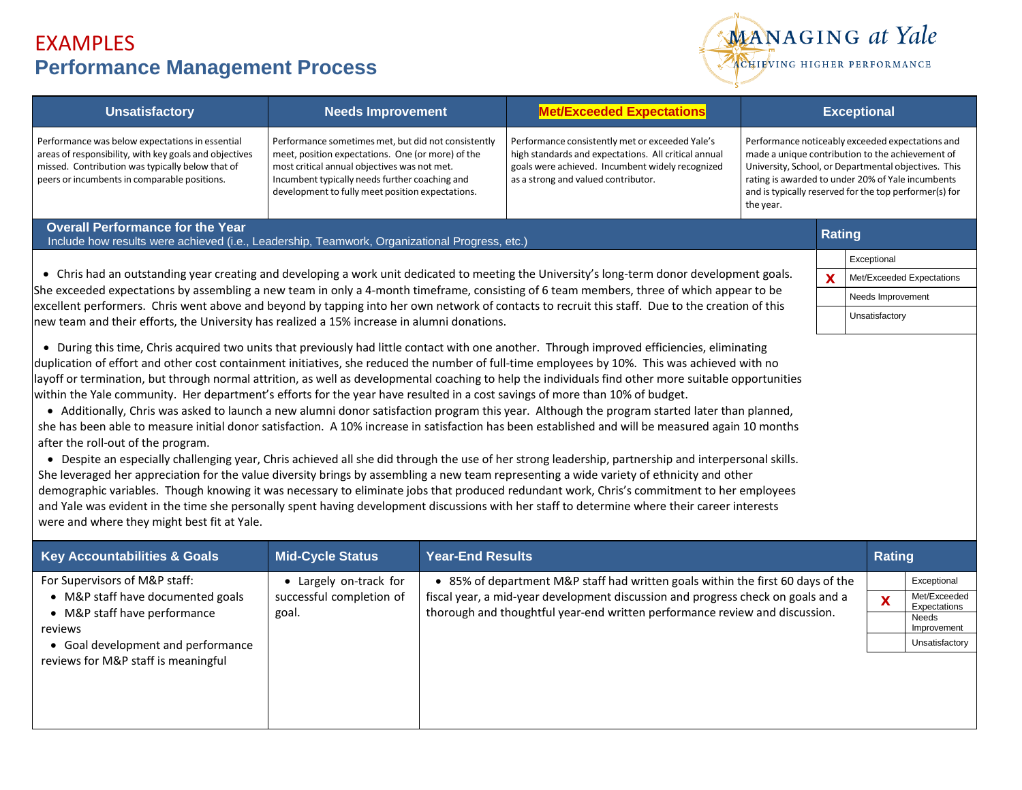

| <b>Unsatisfactory</b>                                                                                                                                                                                                                                                                                                                                                                                                                                                                                                                                                                                                                                                                                                                                                                                                                                                                                                                                                                                                                                                                                                                                                                                                                                                                                                                                                                                                                                                                                                                                                                 | <b>Needs Improvement</b>                                                                                                                                                                                                                                                                                                                                                                                                                                                                                                                                                                                                                                                                                                                                         |                         | <b>Met/Exceeded Expectations</b>                                                                                                                                                                                                                   | <b>Exceptional</b> |                                                                                                   |                                |  |  |
|---------------------------------------------------------------------------------------------------------------------------------------------------------------------------------------------------------------------------------------------------------------------------------------------------------------------------------------------------------------------------------------------------------------------------------------------------------------------------------------------------------------------------------------------------------------------------------------------------------------------------------------------------------------------------------------------------------------------------------------------------------------------------------------------------------------------------------------------------------------------------------------------------------------------------------------------------------------------------------------------------------------------------------------------------------------------------------------------------------------------------------------------------------------------------------------------------------------------------------------------------------------------------------------------------------------------------------------------------------------------------------------------------------------------------------------------------------------------------------------------------------------------------------------------------------------------------------------|------------------------------------------------------------------------------------------------------------------------------------------------------------------------------------------------------------------------------------------------------------------------------------------------------------------------------------------------------------------------------------------------------------------------------------------------------------------------------------------------------------------------------------------------------------------------------------------------------------------------------------------------------------------------------------------------------------------------------------------------------------------|-------------------------|----------------------------------------------------------------------------------------------------------------------------------------------------------------------------------------------------------------------------------------------------|--------------------|---------------------------------------------------------------------------------------------------|--------------------------------|--|--|
| Performance was below expectations in essential<br>areas of responsibility, with key goals and objectives<br>missed. Contribution was typically below that of<br>peers or incumbents in comparable positions.                                                                                                                                                                                                                                                                                                                                                                                                                                                                                                                                                                                                                                                                                                                                                                                                                                                                                                                                                                                                                                                                                                                                                                                                                                                                                                                                                                         | Performance sometimes met, but did not consistently<br>Performance consistently met or exceeded Yale's<br>Performance noticeably exceeded expectations and<br>made a unique contribution to the achievement of<br>meet, position expectations. One (or more) of the<br>high standards and expectations. All critical annual<br>most critical annual objectives was not met.<br>goals were achieved. Incumbent widely recognized<br>University, School, or Departmental objectives. This<br>Incumbent typically needs further coaching and<br>rating is awarded to under 20% of Yale incumbents<br>as a strong and valued contributor.<br>and is typically reserved for the top performer(s) for<br>development to fully meet position expectations.<br>the year. |                         |                                                                                                                                                                                                                                                    |                    |                                                                                                   |                                |  |  |
| <b>Overall Performance for the Year</b><br>Include how results were achieved (i.e., Leadership, Teamwork, Organizational Progress, etc.)                                                                                                                                                                                                                                                                                                                                                                                                                                                                                                                                                                                                                                                                                                                                                                                                                                                                                                                                                                                                                                                                                                                                                                                                                                                                                                                                                                                                                                              | <b>Rating</b>                                                                                                                                                                                                                                                                                                                                                                                                                                                                                                                                                                                                                                                                                                                                                    |                         |                                                                                                                                                                                                                                                    |                    |                                                                                                   |                                |  |  |
|                                                                                                                                                                                                                                                                                                                                                                                                                                                                                                                                                                                                                                                                                                                                                                                                                                                                                                                                                                                                                                                                                                                                                                                                                                                                                                                                                                                                                                                                                                                                                                                       |                                                                                                                                                                                                                                                                                                                                                                                                                                                                                                                                                                                                                                                                                                                                                                  | Exceptional             |                                                                                                                                                                                                                                                    |                    |                                                                                                   |                                |  |  |
| • Chris had an outstanding year creating and developing a work unit dedicated to meeting the University's long-term donor development goals.<br>She exceeded expectations by assembling a new team in only a 4-month timeframe, consisting of 6 team members, three of which appear to be<br>excellent performers. Chris went above and beyond by tapping into her own network of contacts to recruit this staff. Due to the creation of this                                                                                                                                                                                                                                                                                                                                                                                                                                                                                                                                                                                                                                                                                                                                                                                                                                                                                                                                                                                                                                                                                                                                         |                                                                                                                                                                                                                                                                                                                                                                                                                                                                                                                                                                                                                                                                                                                                                                  |                         |                                                                                                                                                                                                                                                    |                    |                                                                                                   | X<br>Met/Exceeded Expectations |  |  |
|                                                                                                                                                                                                                                                                                                                                                                                                                                                                                                                                                                                                                                                                                                                                                                                                                                                                                                                                                                                                                                                                                                                                                                                                                                                                                                                                                                                                                                                                                                                                                                                       |                                                                                                                                                                                                                                                                                                                                                                                                                                                                                                                                                                                                                                                                                                                                                                  |                         |                                                                                                                                                                                                                                                    |                    |                                                                                                   | Needs Improvement              |  |  |
| new team and their efforts, the University has realized a 15% increase in alumni donations.                                                                                                                                                                                                                                                                                                                                                                                                                                                                                                                                                                                                                                                                                                                                                                                                                                                                                                                                                                                                                                                                                                                                                                                                                                                                                                                                                                                                                                                                                           |                                                                                                                                                                                                                                                                                                                                                                                                                                                                                                                                                                                                                                                                                                                                                                  | Unsatisfactory          |                                                                                                                                                                                                                                                    |                    |                                                                                                   |                                |  |  |
| • During this time, Chris acquired two units that previously had little contact with one another. Through improved efficiencies, eliminating<br>duplication of effort and other cost containment initiatives, she reduced the number of full-time employees by 10%. This was achieved with no<br>layoff or termination, but through normal attrition, as well as developmental coaching to help the individuals find other more suitable opportunities<br>within the Yale community. Her department's efforts for the year have resulted in a cost savings of more than 10% of budget.<br>• Additionally, Chris was asked to launch a new alumni donor satisfaction program this year. Although the program started later than planned,<br>she has been able to measure initial donor satisfaction. A 10% increase in satisfaction has been established and will be measured again 10 months<br>after the roll-out of the program.<br>• Despite an especially challenging year, Chris achieved all she did through the use of her strong leadership, partnership and interpersonal skills.<br>She leveraged her appreciation for the value diversity brings by assembling a new team representing a wide variety of ethnicity and other<br>demographic variables. Though knowing it was necessary to eliminate jobs that produced redundant work, Chris's commitment to her employees<br>and Yale was evident in the time she personally spent having development discussions with her staff to determine where their career interests<br>were and where they might best fit at Yale. |                                                                                                                                                                                                                                                                                                                                                                                                                                                                                                                                                                                                                                                                                                                                                                  |                         |                                                                                                                                                                                                                                                    |                    |                                                                                                   |                                |  |  |
| <b>Key Accountabilities &amp; Goals</b>                                                                                                                                                                                                                                                                                                                                                                                                                                                                                                                                                                                                                                                                                                                                                                                                                                                                                                                                                                                                                                                                                                                                                                                                                                                                                                                                                                                                                                                                                                                                               | <b>Mid-Cycle Status</b>                                                                                                                                                                                                                                                                                                                                                                                                                                                                                                                                                                                                                                                                                                                                          | <b>Year-End Results</b> |                                                                                                                                                                                                                                                    |                    |                                                                                                   | Rating                         |  |  |
| For Supervisors of M&P staff:<br>• M&P staff have documented goals<br>• M&P staff have performance<br>reviews<br>• Goal development and performance<br>reviews for M&P staff is meaningful                                                                                                                                                                                                                                                                                                                                                                                                                                                                                                                                                                                                                                                                                                                                                                                                                                                                                                                                                                                                                                                                                                                                                                                                                                                                                                                                                                                            | • Largely on-track for<br>successful completion of<br>goal.                                                                                                                                                                                                                                                                                                                                                                                                                                                                                                                                                                                                                                                                                                      |                         | • 85% of department M&P staff had written goals within the first 60 days of the<br>fiscal year, a mid-year development discussion and progress check on goals and a<br>thorough and thoughtful year-end written performance review and discussion. |                    | Exceptional<br>Met/Exceeded<br>X<br>Expectations<br><b>Needs</b><br>Improvement<br>Unsatisfactory |                                |  |  |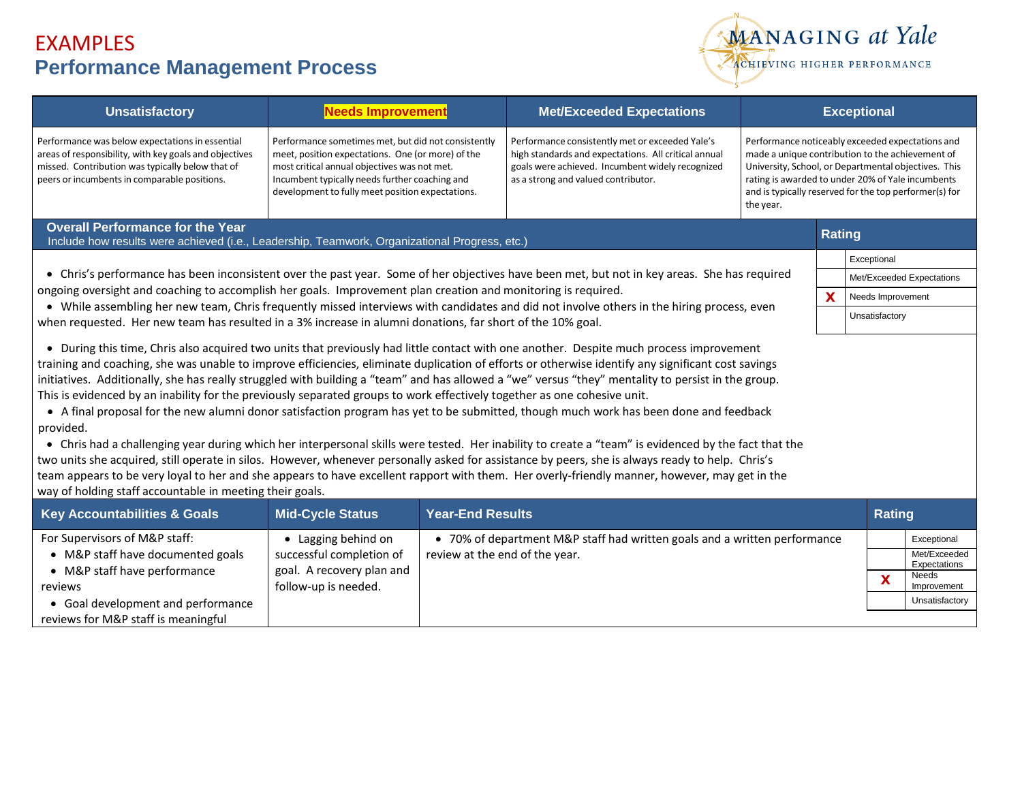

| <b>Unsatisfactory</b>                                                                                                                                                                                                                                                                                                                                                                                                                                                                                                                                                                                                                                                                                                                                                                                                                                                                                                                                                                                                                                                                                                                                                                                                                                          | <b>Needs Improvement</b>                                                                                                                                                                                                                                       |                         | <b>Met/Exceeded Expectations</b>                                                                                                                                                                   | <b>Exceptional</b>                                                                                                                                                                                                                                                                       |  |                           |                              |  |  |
|----------------------------------------------------------------------------------------------------------------------------------------------------------------------------------------------------------------------------------------------------------------------------------------------------------------------------------------------------------------------------------------------------------------------------------------------------------------------------------------------------------------------------------------------------------------------------------------------------------------------------------------------------------------------------------------------------------------------------------------------------------------------------------------------------------------------------------------------------------------------------------------------------------------------------------------------------------------------------------------------------------------------------------------------------------------------------------------------------------------------------------------------------------------------------------------------------------------------------------------------------------------|----------------------------------------------------------------------------------------------------------------------------------------------------------------------------------------------------------------------------------------------------------------|-------------------------|----------------------------------------------------------------------------------------------------------------------------------------------------------------------------------------------------|------------------------------------------------------------------------------------------------------------------------------------------------------------------------------------------------------------------------------------------------------------------------------------------|--|---------------------------|------------------------------|--|--|
| Performance was below expectations in essential<br>areas of responsibility, with key goals and objectives<br>missed. Contribution was typically below that of<br>peers or incumbents in comparable positions.                                                                                                                                                                                                                                                                                                                                                                                                                                                                                                                                                                                                                                                                                                                                                                                                                                                                                                                                                                                                                                                  | Performance sometimes met, but did not consistently<br>meet, position expectations. One (or more) of the<br>most critical annual objectives was not met.<br>Incumbent typically needs further coaching and<br>development to fully meet position expectations. |                         | Performance consistently met or exceeded Yale's<br>high standards and expectations. All critical annual<br>goals were achieved. Incumbent widely recognized<br>as a strong and valued contributor. | Performance noticeably exceeded expectations and<br>made a unique contribution to the achievement of<br>University, School, or Departmental objectives. This<br>rating is awarded to under 20% of Yale incumbents<br>and is typically reserved for the top performer(s) for<br>the year. |  |                           |                              |  |  |
| <b>Overall Performance for the Year</b><br>Include how results were achieved (i.e., Leadership, Teamwork, Organizational Progress, etc.)                                                                                                                                                                                                                                                                                                                                                                                                                                                                                                                                                                                                                                                                                                                                                                                                                                                                                                                                                                                                                                                                                                                       |                                                                                                                                                                                                                                                                |                         |                                                                                                                                                                                                    |                                                                                                                                                                                                                                                                                          |  |                           | <b>Rating</b>                |  |  |
|                                                                                                                                                                                                                                                                                                                                                                                                                                                                                                                                                                                                                                                                                                                                                                                                                                                                                                                                                                                                                                                                                                                                                                                                                                                                |                                                                                                                                                                                                                                                                |                         |                                                                                                                                                                                                    |                                                                                                                                                                                                                                                                                          |  |                           | Exceptional                  |  |  |
| • Chris's performance has been inconsistent over the past year. Some of her objectives have been met, but not in key areas. She has required                                                                                                                                                                                                                                                                                                                                                                                                                                                                                                                                                                                                                                                                                                                                                                                                                                                                                                                                                                                                                                                                                                                   |                                                                                                                                                                                                                                                                |                         |                                                                                                                                                                                                    |                                                                                                                                                                                                                                                                                          |  | Met/Exceeded Expectations |                              |  |  |
| ongoing oversight and coaching to accomplish her goals. Improvement plan creation and monitoring is required.                                                                                                                                                                                                                                                                                                                                                                                                                                                                                                                                                                                                                                                                                                                                                                                                                                                                                                                                                                                                                                                                                                                                                  |                                                                                                                                                                                                                                                                |                         |                                                                                                                                                                                                    |                                                                                                                                                                                                                                                                                          |  |                           | Needs Improvement            |  |  |
| • While assembling her new team, Chris frequently missed interviews with candidates and did not involve others in the hiring process, even<br>when requested. Her new team has resulted in a 3% increase in alumni donations, far short of the 10% goal.                                                                                                                                                                                                                                                                                                                                                                                                                                                                                                                                                                                                                                                                                                                                                                                                                                                                                                                                                                                                       |                                                                                                                                                                                                                                                                |                         |                                                                                                                                                                                                    |                                                                                                                                                                                                                                                                                          |  |                           | Unsatisfactory               |  |  |
| • During this time, Chris also acquired two units that previously had little contact with one another. Despite much process improvement<br>training and coaching, she was unable to improve efficiencies, eliminate duplication of efforts or otherwise identify any significant cost savings<br>initiatives. Additionally, she has really struggled with building a "team" and has allowed a "we" versus "they" mentality to persist in the group.<br>This is evidenced by an inability for the previously separated groups to work effectively together as one cohesive unit.<br>• A final proposal for the new alumni donor satisfaction program has yet to be submitted, though much work has been done and feedback<br>provided.<br>• Chris had a challenging year during which her interpersonal skills were tested. Her inability to create a "team" is evidenced by the fact that the<br>two units she acquired, still operate in silos. However, whenever personally asked for assistance by peers, she is always ready to help. Chris's<br>team appears to be very loyal to her and she appears to have excellent rapport with them. Her overly-friendly manner, however, may get in the<br>way of holding staff accountable in meeting their goals. |                                                                                                                                                                                                                                                                |                         |                                                                                                                                                                                                    |                                                                                                                                                                                                                                                                                          |  |                           |                              |  |  |
| <b>Key Accountabilities &amp; Goals</b>                                                                                                                                                                                                                                                                                                                                                                                                                                                                                                                                                                                                                                                                                                                                                                                                                                                                                                                                                                                                                                                                                                                                                                                                                        | <b>Mid-Cycle Status</b>                                                                                                                                                                                                                                        | <b>Year-End Results</b> |                                                                                                                                                                                                    |                                                                                                                                                                                                                                                                                          |  |                           | <b>Rating</b>                |  |  |
| For Supervisors of M&P staff:                                                                                                                                                                                                                                                                                                                                                                                                                                                                                                                                                                                                                                                                                                                                                                                                                                                                                                                                                                                                                                                                                                                                                                                                                                  | • Lagging behind on                                                                                                                                                                                                                                            |                         | • 70% of department M&P staff had written goals and a written performance                                                                                                                          |                                                                                                                                                                                                                                                                                          |  |                           | Exceptional                  |  |  |
| • M&P staff have documented goals<br>successful completion of<br>review at the end of the year.                                                                                                                                                                                                                                                                                                                                                                                                                                                                                                                                                                                                                                                                                                                                                                                                                                                                                                                                                                                                                                                                                                                                                                |                                                                                                                                                                                                                                                                |                         |                                                                                                                                                                                                    |                                                                                                                                                                                                                                                                                          |  |                           | Met/Exceeded<br>Expectations |  |  |
| • M&P staff have performance<br>reviews                                                                                                                                                                                                                                                                                                                                                                                                                                                                                                                                                                                                                                                                                                                                                                                                                                                                                                                                                                                                                                                                                                                                                                                                                        | goal. A recovery plan and<br>follow-up is needed.                                                                                                                                                                                                              |                         |                                                                                                                                                                                                    |                                                                                                                                                                                                                                                                                          |  | $\mathbf x$               | Needs<br>Improvement         |  |  |
| • Goal development and performance                                                                                                                                                                                                                                                                                                                                                                                                                                                                                                                                                                                                                                                                                                                                                                                                                                                                                                                                                                                                                                                                                                                                                                                                                             |                                                                                                                                                                                                                                                                |                         |                                                                                                                                                                                                    |                                                                                                                                                                                                                                                                                          |  | Unsatisfactory            |                              |  |  |
| reviews for M&P staff is meaningful                                                                                                                                                                                                                                                                                                                                                                                                                                                                                                                                                                                                                                                                                                                                                                                                                                                                                                                                                                                                                                                                                                                                                                                                                            |                                                                                                                                                                                                                                                                |                         |                                                                                                                                                                                                    |                                                                                                                                                                                                                                                                                          |  |                           |                              |  |  |